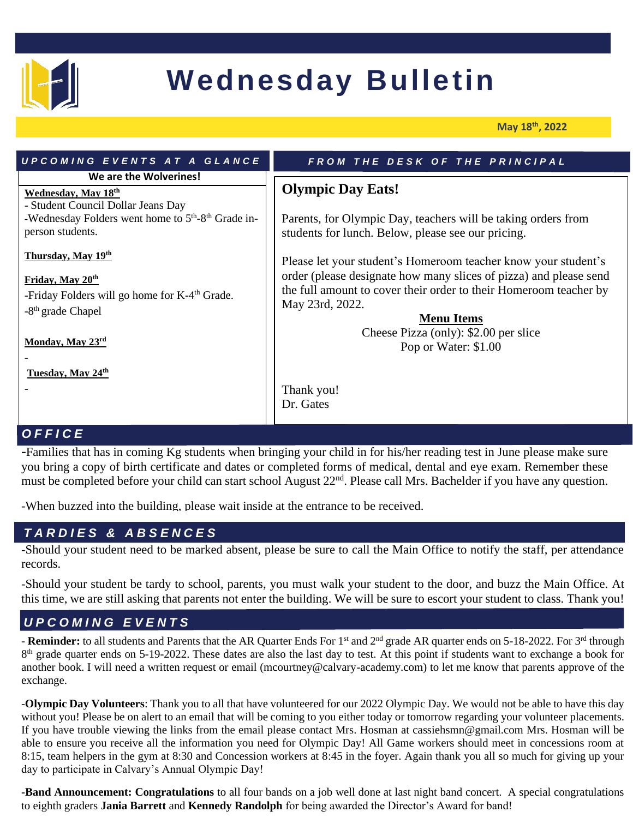

# **Wednesday Bulletin**

**May 18th, 2022**

| UPCOMING EVENTS AT A GLANCE                                                                                                                                                           | FROM THE DESK OF THE PRINCIPAL                                                                                                                                                                                                                                                                                    |
|---------------------------------------------------------------------------------------------------------------------------------------------------------------------------------------|-------------------------------------------------------------------------------------------------------------------------------------------------------------------------------------------------------------------------------------------------------------------------------------------------------------------|
| We are the Wolverines!<br>Wednesday, May 18th<br>- Student Council Dollar Jeans Day<br>-Wednesday Folders went home to 5 <sup>th</sup> -8 <sup>th</sup> Grade in-<br>person students. | <b>Olympic Day Eats!</b><br>Parents, for Olympic Day, teachers will be taking orders from<br>students for lunch. Below, please see our pricing.                                                                                                                                                                   |
| Thursday, May 19th<br>Friday, May 20th<br>-Friday Folders will go home for K-4 <sup>th</sup> Grade.<br>$-8th$ grade Chapel<br>Monday, May 23rd                                        | Please let your student's Homeroom teacher know your student's<br>order (please designate how many slices of pizza) and please send<br>the full amount to cover their order to their Homeroom teacher by<br>May 23rd, 2022.<br><b>Menu Items</b><br>Cheese Pizza (only): \$2.00 per slice<br>Pop or Water: \$1.00 |
| Tuesday, May 24th                                                                                                                                                                     | Thank you!<br>Dr. Gates                                                                                                                                                                                                                                                                                           |

# *O F F I C E*

-Families that has in coming Kg students when bringing your child in for his/her reading test in June please make sure you bring a copy of birth certificate and dates or completed forms of medical, dental and eye exam. Remember these must be completed before your child can start school August  $22<sup>nd</sup>$ . Please call Mrs. Bachelder if you have any question.

-When buzzed into the building, please wait inside at the entrance to be received.

# *T A R D I E S & A B S E N C E S*

-Should your student need to be marked absent, please be sure to call the Main Office to notify the staff, per attendance records.

-Should your student be tardy to school, parents, you must walk your student to the door, and buzz the Main Office. At this time, we are still asking that parents not enter the building. We will be sure to escort your student to class. Thank you!

## *U P C O M I N G E V E N T S*

- Reminder: to all students and Parents that the AR Quarter Ends For 1<sup>st</sup> and 2<sup>nd</sup> grade AR quarter ends on 5-18-2022. For 3<sup>rd</sup> through 8<sup>th</sup> grade quarter ends on 5-19-2022. These dates are also the last day to test. At this point if students want to exchange a book for another book. I will need a written request or email (mcourtney@calvary-academy.com) to let me know that parents approve of the exchange.

-**Olympic Day Volunteers**: Thank you to all that have volunteered for our 2022 Olympic Day. We would not be able to have this day without you! Please be on alert to an email that will be coming to you either today or tomorrow regarding your volunteer placements. If you have trouble viewing the links from the email please contact Mrs. Hosman at cassiehsmn@gmail.com Mrs. Hosman will be able to ensure you receive all the information you need for Olympic Day! All Game workers should meet in concessions room at 8:15, team helpers in the gym at 8:30 and Concession workers at 8:45 in the foyer. Again thank you all so much for giving up your day to participate in Calvary's Annual Olympic Day!

**-Band Announcement: Congratulations** to all four bands on a job well done at last night band concert. A special congratulations to eighth graders **Jania Barrett** and **Kennedy Randolph** for being awarded the Director's Award for band!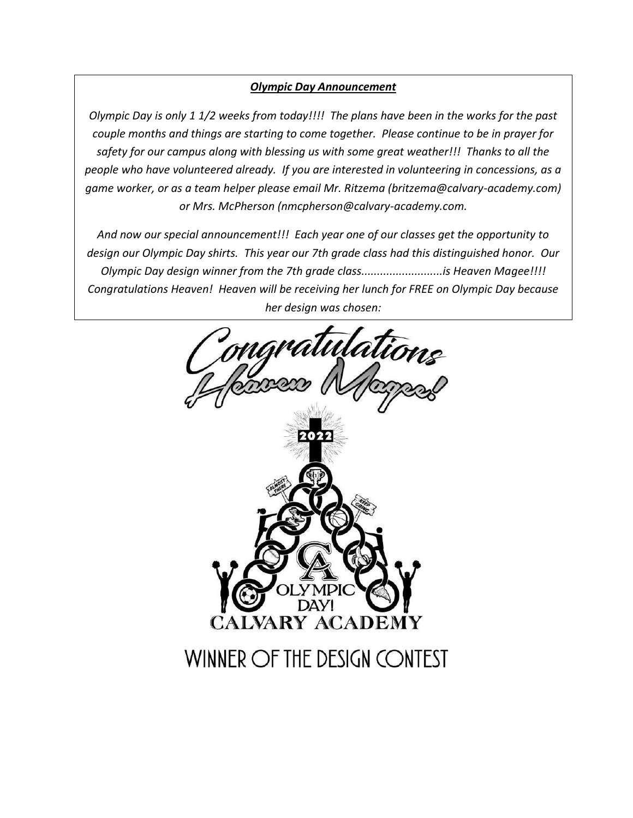#### *Olympic Day Announcement*

*Olympic Day is only 1 1/2 weeks from today!!!! The plans have been in the works for the past couple months and things are starting to come together. Please continue to be in prayer for safety for our campus along with blessing us with some great weather!!! Thanks to all the people who have volunteered already. If you are interested in volunteering in concessions, as a game worker, or as a team helper please email Mr. Ritzema (britzema@calvary-academy.com) or Mrs. McPherson (nmcpherson@calvary-academy.com.*

*And now our special announcement!!! Each year one of our classes get the opportunity to design our Olympic Day shirts. This year our 7th grade class had this distinguished honor. Our Olympic Day design winner from the 7th grade class..........................is Heaven Magee!!!! Congratulations Heaven! Heaven will be receiving her lunch for FREE on Olympic Day because her design was chosen:*



# **WINNER OF THE DESIGN CONTEST**